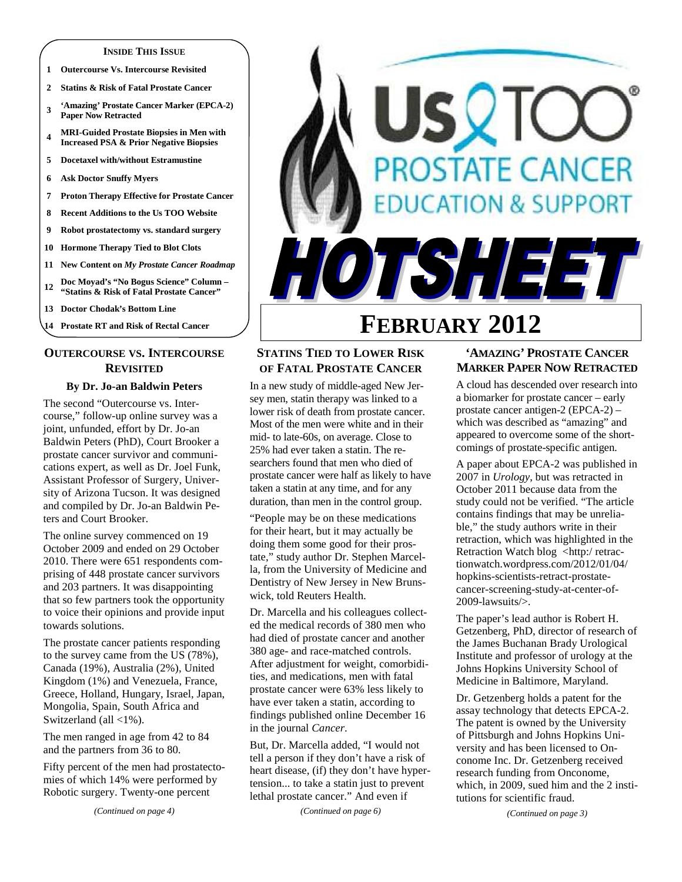#### **INSIDE THIS ISSUE**

- **1 Outercourse Vs. Intercourse Revisited**
- **2 Statins & Risk of Fatal Prostate Cancer**
- **<sup>3</sup>'Amazing' Prostate Cancer Marker (EPCA-2) Paper Now Retracted**
- **<sup>4</sup>MRI-Guided Prostate Biopsies in Men with Increased PSA & Prior Negative Biopsies**
- **5 Docetaxel with/without Estramustine**
- **6 Ask Doctor Snuffy Myers**
- **7 Proton Therapy Effective for Prostate Cancer**
- **8 Recent Additions to the Us TOO Website**
- **9 Robot prostatectomy vs. standard surgery**
- **10 Hormone Therapy Tied to Blot Clots**
- **11 New Content on** *My Prostate Cancer Roadmap*
- **<sup>12</sup>Doc Moyad's "No Bogus Science" Column "Statins & Risk of Fatal Prostate Cancer"**
- **13 Doctor Chodak's Bottom Line**
- **14 Prostate RT and Risk of Rectal Cancer**

## **OUTERCOURSE VS. INTERCOURSE REVISITED**

#### **By Dr. Jo-an Baldwin Peters**

The second "Outercourse vs. Intercourse," follow-up online survey was a joint, unfunded, effort by Dr. Jo-an Baldwin Peters (PhD), Court Brooker a prostate cancer survivor and communications expert, as well as Dr. Joel Funk, Assistant Professor of Surgery, University of Arizona Tucson. It was designed and compiled by Dr. Jo-an Baldwin Peters and Court Brooker.

The online survey commenced on 19 October 2009 and ended on 29 October 2010. There were 651 respondents comprising of 448 prostate cancer survivors and 203 partners. It was disappointing that so few partners took the opportunity to voice their opinions and provide input towards solutions.

The prostate cancer patients responding to the survey came from the US (78%), Canada (19%), Australia (2%), United Kingdom (1%) and Venezuela, France, Greece, Holland, Hungary, Israel, Japan, Mongolia, Spain, South Africa and Switzerland (all <1%).

The men ranged in age from 42 to 84 and the partners from 36 to 80.

Fifty percent of the men had prostatectomies of which 14% were performed by Robotic surgery. Twenty-one percent



# **FEBRUARY 2012**

## **STATINS TIED TO LOWER RISK OF FATAL PROSTATE CANCER**

In a new study of middle-aged New Jersey men, statin therapy was linked to a lower risk of death from prostate cancer. Most of the men were white and in their mid- to late-60s, on average. Close to 25% had ever taken a statin. The researchers found that men who died of prostate cancer were half as likely to have taken a statin at any time, and for any duration, than men in the control group.

"People may be on these medications for their heart, but it may actually be doing them some good for their prostate," study author Dr. Stephen Marcella, from the University of Medicine and Dentistry of New Jersey in New Brunswick, told Reuters Health.

Dr. Marcella and his colleagues collected the medical records of 380 men who had died of prostate cancer and another 380 age- and race-matched controls. After adjustment for weight, comorbidities, and medications, men with fatal prostate cancer were 63% less likely to have ever taken a statin, according to findings published online December 16 in the journal *Cancer*.

But, Dr. Marcella added, "I would not tell a person if they don't have a risk of heart disease, (if) they don't have hypertension... to take a statin just to prevent lethal prostate cancer." And even if

*(Continued on page 6)* 

## **'AMAZING' PROSTATE CANCER MARKER PAPER NOW RETRACTED**

A cloud has descended over research into a biomarker for prostate cancer – early prostate cancer antigen-2 (EPCA-2) – which was described as "amazing" and appeared to overcome some of the shortcomings of prostate-specific antigen.

A paper about EPCA-2 was published in 2007 in *Urology*, but was retracted in October 2011 because data from the study could not be verified. "The article contains findings that may be unreliable," the study authors write in their retraction, which was highlighted in the Retraction Watch blog <http://retractionwatch.wordpress.com/2012/01/04/ hopkins-scientists-retract-prostatecancer-screening-study-at-center-of-2009-lawsuits/>.

The paper's lead author is Robert H. Getzenberg, PhD, director of research of the James Buchanan Brady Urological Institute and professor of urology at the Johns Hopkins University School of Medicine in Baltimore, Maryland.

Dr. Getzenberg holds a patent for the assay technology that detects EPCA-2. The patent is owned by the University of Pittsburgh and Johns Hopkins University and has been licensed to Onconome Inc. Dr. Getzenberg received research funding from Onconome, which, in 2009, sued him and the 2 institutions for scientific fraud.

*(Continued on page 3)*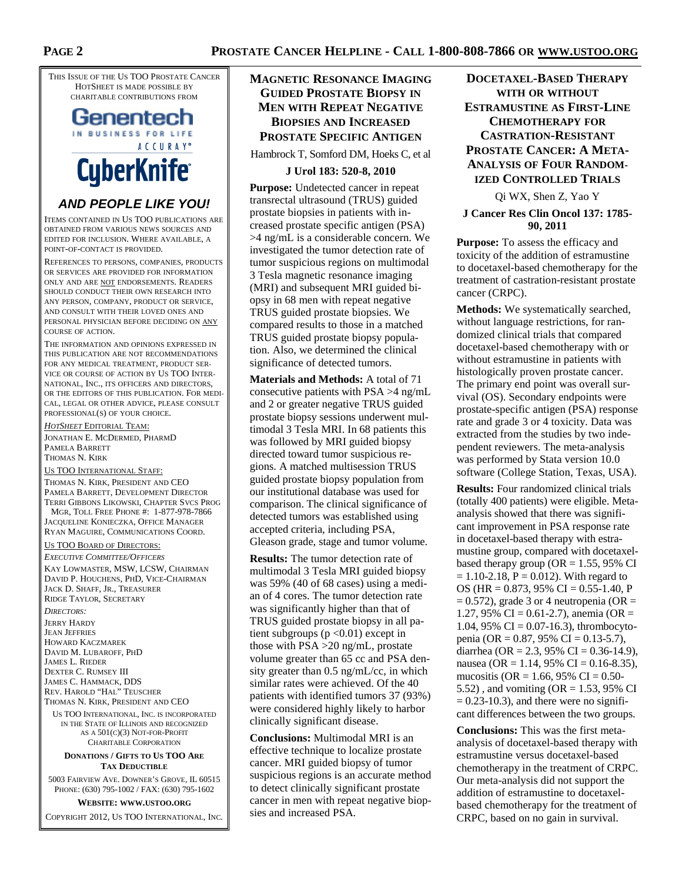**PAGE 2** 

THIS ISSUE OF THE US TOO PROSTATE CANCER HOTSHEET IS MADE POSSIBLE BY CHARITABLE CONTRIBUTIONS FROM

## Genentech IN BUSINESS FOR LIFE ACCURAY<sup>®</sup> **CyberKnife**

## **AND PEOPLE LIKE YOU!**

ITEMS CONTAINED IN US TOO PUBLICATIONS ARE OBTAINED FROM VARIOUS NEWS SOURCES AND EDITED FOR INCLUSION. WHERE AVAILABLE, A POINT-OF-CONTACT IS PROVIDED.

REFERENCES TO PERSONS, COMPANIES, PRODUCTS OR SERVICES ARE PROVIDED FOR INFORMATION ONLY AND ARE NOT ENDORSEMENTS. READERS SHOULD CONDUCT THEIR OWN RESEARCH INTO ANY PERSON, COMPANY, PRODUCT OR SERVICE, AND CONSULT WITH THEIR LOVED ONES AND PERSONAL PHYSICIAN BEFORE DECIDING ON ANY COURSE OF ACTION.

THE INFORMATION AND OPINIONS EXPRESSED IN THIS PUBLICATION ARE NOT RECOMMENDATIONS FOR ANY MEDICAL TREATMENT, PRODUCT SER-VICE OR COURSE OF ACTION BY US TOO INTER-NATIONAL, INC., ITS OFFICERS AND DIRECTORS, OR THE EDITORS OF THIS PUBLICATION. FOR MEDI-CAL, LEGAL OR OTHER ADVICE, PLEASE CONSULT PROFESSIONAL(S) OF YOUR CHOICE.

*HOTSHEET* EDITORIAL TEAM: JONATHAN E. MCDERMED, PHARMD PAMELA BARRETT THOMAS N. KIRK

US TOO INTERNATIONAL STAFF:

THOMAS N. KIRK, PRESIDENT AND CEO PAMELA BARRETT, DEVELOPMENT DIRECTOR TERRI GIBBONS LIKOWSKI, CHAPTER SVCS PROG MGR, TOLL FREE PHONE #: 1-877-978-7866

JACQUELINE KONIECZKA, OFFICE MANAGER RYAN MAGUIRE, COMMUNICATIONS COORD.

US TOO BOARD OF DIRECTORS:

*EXECUTIVE COMMITTEE/OFFICERS* KAY LOWMASTER, MSW, LCSW, CHAIRMAN DAVID P. HOUCHENS, PHD, VICE-CHAIRMAN JACK D. SHAFF, JR., TREASURER RIDGE TAYLOR, SECRETARY

*DIRECTORS:*  JERRY HARDY JEAN JEFFRIES HOWARD KACZMAREK DAVID M. LUBAROFF, PHD JAMES L. RIEDER DEXTER C. RUMSEY III JAMES C. HAMMACK, DDS REV. HAROLD "HAL" TEUSCHER THOMAS N. KIRK, PRESIDENT AND CEO

US TOO INTERNATIONAL, INC. IS INCORPORATED IN THE STATE OF ILLINOIS AND RECOGNIZED AS A 501(C)(3) NOT-FOR-PROFIT

#### CHARITABLE CORPORATION **DONATIONS / GIFTS TO US TOO ARE**

## **TAX DEDUCTIBLE**

5003 FAIRVIEW AVE. DOWNER'S GROVE, IL 60515 PHONE: (630) 795-1002 / FAX: (630) 795-1602

**WEBSITE: WWW.USTOO.ORG** COPYRIGHT 2012, US TOO INTERNATIONAL, INC.

## **MAGNETIC RESONANCE IMAGING GUIDED PROSTATE BIOPSY IN MEN WITH REPEAT NEGATIVE BIOPSIES AND INCREASED PROSTATE SPECIFIC ANTIGEN**

Hambrock T, Somford DM, Hoeks C, et al

## **J Urol 183: 520-8, 2010**

**Purpose:** Undetected cancer in repeat transrectal ultrasound (TRUS) guided prostate biopsies in patients with increased prostate specific antigen (PSA) >4 ng/mL is a considerable concern. We investigated the tumor detection rate of tumor suspicious regions on multimodal 3 Tesla magnetic resonance imaging (MRI) and subsequent MRI guided biopsy in 68 men with repeat negative TRUS guided prostate biopsies. We compared results to those in a matched TRUS guided prostate biopsy population. Also, we determined the clinical significance of detected tumors.

**Materials and Methods:** A total of 71 consecutive patients with PSA >4 ng/mL and 2 or greater negative TRUS guided prostate biopsy sessions underwent multimodal 3 Tesla MRI. In 68 patients this was followed by MRI guided biopsy directed toward tumor suspicious regions. A matched multisession TRUS guided prostate biopsy population from our institutional database was used for comparison. The clinical significance of detected tumors was established using accepted criteria, including PSA, Gleason grade, stage and tumor volume.

**Results:** The tumor detection rate of multimodal 3 Tesla MRI guided biopsy was 59% (40 of 68 cases) using a median of 4 cores. The tumor detection rate was significantly higher than that of TRUS guided prostate biopsy in all patient subgroups  $(p < 0.01)$  except in those with PSA >20 ng/mL, prostate volume greater than 65 cc and PSA density greater than 0.5 ng/mL/cc, in which similar rates were achieved. Of the 40 patients with identified tumors 37 (93%) were considered highly likely to harbor clinically significant disease.

**Conclusions:** Multimodal MRI is an effective technique to localize prostate cancer. MRI guided biopsy of tumor suspicious regions is an accurate method to detect clinically significant prostate cancer in men with repeat negative biopsies and increased PSA.

## **DOCETAXEL-BASED THERAPY WITH OR WITHOUT ESTRAMUSTINE AS FIRST-LINE CHEMOTHERAPY FOR CASTRATION-RESISTANT PROSTATE CANCER: A META-ANALYSIS OF FOUR RANDOM-IZED CONTROLLED TRIALS**

Qi WX, Shen Z, Yao Y

#### **J Cancer Res Clin Oncol 137: 1785- 90, 2011**

**Purpose:** To assess the efficacy and toxicity of the addition of estramustine to docetaxel-based chemotherapy for the treatment of castration-resistant prostate cancer (CRPC).

**Methods:** We systematically searched, without language restrictions, for randomized clinical trials that compared docetaxel-based chemotherapy with or without estramustine in patients with histologically proven prostate cancer. The primary end point was overall survival (OS). Secondary endpoints were prostate-specific antigen (PSA) response rate and grade 3 or 4 toxicity. Data was extracted from the studies by two independent reviewers. The meta-analysis was performed by Stata version 10.0 software (College Station, Texas, USA).

**Results:** Four randomized clinical trials (totally 400 patients) were eligible. Metaanalysis showed that there was significant improvement in PSA response rate in docetaxel-based therapy with estramustine group, compared with docetaxelbased therapy group ( $OR = 1.55$ , 95% CI  $= 1.10 - 2.18$ ,  $P = 0.012$ ). With regard to OS (HR =  $0.873$ , 95% CI =  $0.55-1.40$ , P  $= 0.572$ ), grade 3 or 4 neutropenia (OR  $=$ 1.27, 95% CI = 0.61-2.7), anemia (OR = 1.04, 95% CI =  $0.07-16.3$ ), thrombocytopenia (OR =  $0.87$ , 95% CI =  $0.13$ -5.7), diarrhea (OR = 2.3, 95% CI = 0.36-14.9), nausea (OR = 1.14, 95% CI = 0.16-8.35), mucositis (OR = 1.66, 95% CI = 0.50-5.52), and vomiting ( $OR = 1.53$ , 95% CI  $= 0.23 - 10.3$ , and there were no significant differences between the two groups.

**Conclusions:** This was the first metaanalysis of docetaxel-based therapy with estramustine versus docetaxel-based chemotherapy in the treatment of CRPC. Our meta-analysis did not support the addition of estramustine to docetaxelbased chemotherapy for the treatment of CRPC, based on no gain in survival.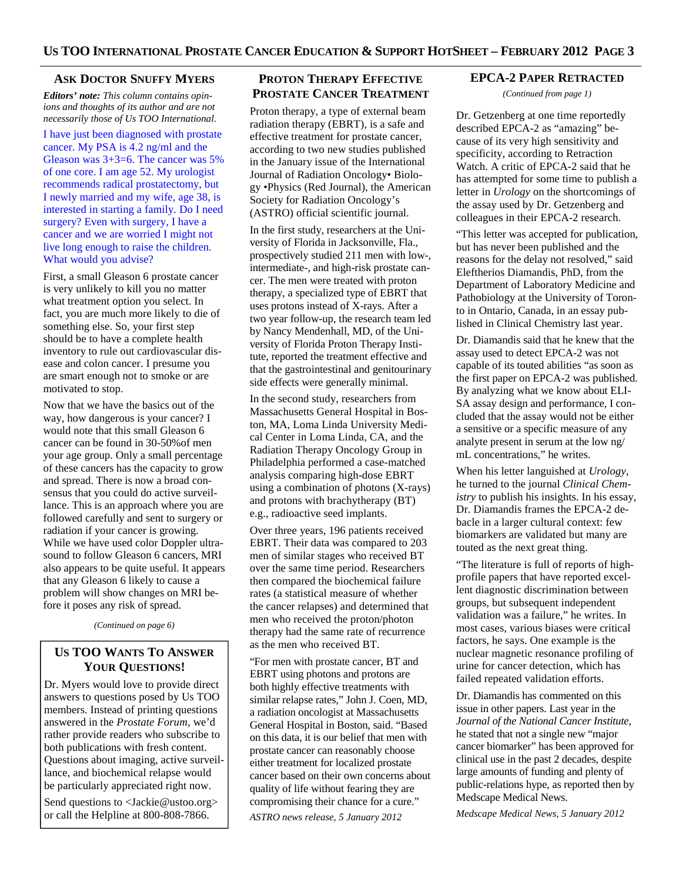#### **ASK DOCTOR SNUFFY MYERS**

*Editors' note: This column contains opinions and thoughts of its author and are not necessarily those of Us TOO International.* 

I have just been diagnosed with prostate cancer. My PSA is 4.2 ng/ml and the Gleason was 3+3=6. The cancer was 5% of one core. I am age 52. My urologist recommends radical prostatectomy, but I newly married and my wife, age 38, is interested in starting a family. Do I need surgery? Even with surgery, I have a cancer and we are worried I might not live long enough to raise the children. What would you advise?

First, a small Gleason 6 prostate cancer is very unlikely to kill you no matter what treatment option you select. In fact, you are much more likely to die of something else. So, your first step should be to have a complete health inventory to rule out cardiovascular disease and colon cancer. I presume you are smart enough not to smoke or are motivated to stop.

Now that we have the basics out of the way, how dangerous is your cancer? I would note that this small Gleason 6 cancer can be found in 30-50%of men your age group. Only a small percentage of these cancers has the capacity to grow and spread. There is now a broad consensus that you could do active surveillance. This is an approach where you are followed carefully and sent to surgery or radiation if your cancer is growing. While we have used color Doppler ultrasound to follow Gleason 6 cancers, MRI also appears to be quite useful. It appears that any Gleason 6 likely to cause a problem will show changes on MRI before it poses any risk of spread.

*(Continued on page 6)* 

## **US TOO WANTS TO ANSWER YOUR QUESTIONS!**

Dr. Myers would love to provide direct answers to questions posed by Us TOO members. Instead of printing questions answered in the *Prostate Forum*, we'd rather provide readers who subscribe to both publications with fresh content. Questions about imaging, active surveillance, and biochemical relapse would be particularly appreciated right now.

Send questions to <Jackie@ustoo.org> or call the Helpline at 800-808-7866.

## **PROTON THERAPY EFFECTIVE PROSTATE CANCER TREATMENT**

Proton therapy, a type of external beam radiation therapy (EBRT), is a safe and effective treatment for prostate cancer, according to two new studies published in the January issue of the International Journal of Radiation Oncology• Biology •Physics (Red Journal), the American Society for Radiation Oncology's (ASTRO) official scientific journal.

In the first study, researchers at the University of Florida in Jacksonville, Fla., prospectively studied 211 men with low-, intermediate-, and high-risk prostate cancer. The men were treated with proton therapy, a specialized type of EBRT that uses protons instead of X-rays. After a two year follow-up, the research team led by Nancy Mendenhall, MD, of the University of Florida Proton Therapy Institute, reported the treatment effective and that the gastrointestinal and genitourinary side effects were generally minimal.

In the second study, researchers from Massachusetts General Hospital in Boston, MA, Loma Linda University Medical Center in Loma Linda, CA, and the Radiation Therapy Oncology Group in Philadelphia performed a case-matched analysis comparing high-dose EBRT using a combination of photons (X-rays) and protons with brachytherapy (BT) e.g., radioactive seed implants.

Over three years, 196 patients received EBRT. Their data was compared to 203 men of similar stages who received BT over the same time period. Researchers then compared the biochemical failure rates (a statistical measure of whether the cancer relapses) and determined that men who received the proton/photon therapy had the same rate of recurrence as the men who received BT.

"For men with prostate cancer, BT and EBRT using photons and protons are both highly effective treatments with similar relapse rates," John J. Coen, MD, a radiation oncologist at Massachusetts General Hospital in Boston, said. "Based on this data, it is our belief that men with prostate cancer can reasonably choose either treatment for localized prostate cancer based on their own concerns about quality of life without fearing they are compromising their chance for a cure."

*ASTRO news release, 5 January 2012* 

#### **EPCA-2 PAPER RETRACTED**

*(Continued from page 1)* 

Dr. Getzenberg at one time reportedly described EPCA-2 as "amazing" because of its very high sensitivity and specificity, according to Retraction Watch. A critic of EPCA-2 said that he has attempted for some time to publish a letter in *Urology* on the shortcomings of the assay used by Dr. Getzenberg and colleagues in their EPCA-2 research.

"This letter was accepted for publication, but has never been published and the reasons for the delay not resolved," said Eleftherios Diamandis, PhD, from the Department of Laboratory Medicine and Pathobiology at the University of Toronto in Ontario, Canada, in an essay published in Clinical Chemistry last year.

Dr. Diamandis said that he knew that the assay used to detect EPCA-2 was not capable of its touted abilities "as soon as the first paper on EPCA-2 was published. By analyzing what we know about ELI-SA assay design and performance, I concluded that the assay would not be either a sensitive or a specific measure of any analyte present in serum at the low ng/ mL concentrations," he writes.

When his letter languished at *Urology*, he turned to the journal *Clinical Chemistry* to publish his insights. In his essay, Dr. Diamandis frames the EPCA-2 debacle in a larger cultural context: few biomarkers are validated but many are touted as the next great thing.

"The literature is full of reports of highprofile papers that have reported excellent diagnostic discrimination between groups, but subsequent independent validation was a failure," he writes. In most cases, various biases were critical factors, he says. One example is the nuclear magnetic resonance profiling of urine for cancer detection, which has failed repeated validation efforts.

Dr. Diamandis has commented on this issue in other papers. Last year in the *Journal of the National Cancer Institute*, he stated that not a single new "major cancer biomarker" has been approved for clinical use in the past 2 decades, despite large amounts of funding and plenty of public-relations hype, as reported then by Medscape Medical News.

*Medscape Medical News, 5 January 2012*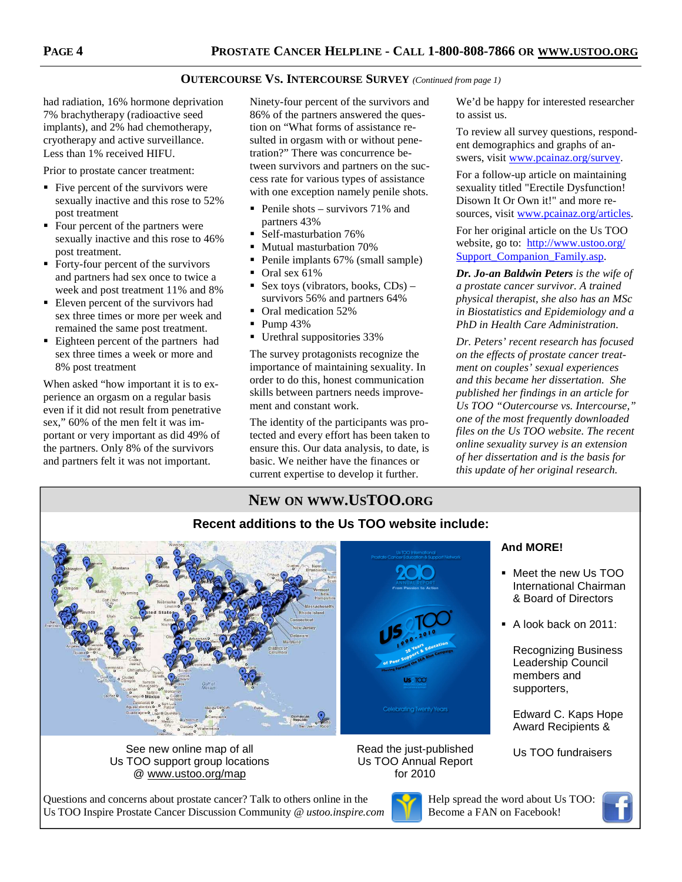### **OUTERCOURSE VS. INTERCOURSE SURVEY** *(Continued from page 1)*

had radiation, 16% hormone deprivation 7% brachytherapy (radioactive seed implants), and 2% had chemotherapy, cryotherapy and active surveillance. Less than 1% received HIFU.

Prior to prostate cancer treatment:

- $\blacksquare$  Five percent of the survivors were sexually inactive and this rose to 52% post treatment
- Four percent of the partners were sexually inactive and this rose to 46% post treatment.
- Forty-four percent of the survivors and partners had sex once to twice a week and post treatment 11% and 8%
- Eleven percent of the survivors had sex three times or more per week and remained the same post treatment.
- Eighteen percent of the partners had sex three times a week or more and 8% post treatment

When asked "how important it is to experience an orgasm on a regular basis even if it did not result from penetrative sex," 60% of the men felt it was important or very important as did 49% of the partners. Only 8% of the survivors and partners felt it was not important.

Ninety-four percent of the survivors and 86% of the partners answered the question on "What forms of assistance resulted in orgasm with or without penetration?" There was concurrence between survivors and partners on the success rate for various types of assistance with one exception namely penile shots.

- Penile shots survivors  $71\%$  and partners 43%
- Self-masturbation 76%
- **Mutual masturbation 70%**
- Penile implants 67% (small sample)
- $\bullet$  Oral sex 61%
- Sex toys (vibrators, books,  $CDs$ ) survivors 56% and partners 64%
- Oral medication 52%
- $\blacksquare$  Pump 43%
- Urethral suppositories 33%

The survey protagonists recognize the importance of maintaining sexuality. In order to do this, honest communication skills between partners needs improvement and constant work.

The identity of the participants was protected and every effort has been taken to ensure this. Our data analysis, to date, is basic. We neither have the finances or current expertise to develop it further.

We'd be happy for interested researcher to assist us.

To review all survey questions, respondent demographics and graphs of answers, visit www.pcainaz.org/survey.

For a follow-up article on maintaining sexuality titled "Erectile Dysfunction! Disown It Or Own it!" and more resources, visit www.pcainaz.org/articles.

For her original article on the Us TOO website, go to: http://www.ustoo.org/ Support Companion Family.asp.

*Dr. Jo-an Baldwin Peters is the wife of a prostate cancer survivor. A trained physical therapist, she also has an MSc in Biostatistics and Epidemiology and a PhD in Health Care Administration.* 

*Dr. Peters' recent research has focused on the effects of prostate cancer treatment on couples' sexual experiences and this became her dissertation. She published her findings in an article for Us TOO "Outercourse vs. Intercourse," one of the most frequently downloaded files on the Us TOO website. The recent online sexuality survey is an extension of her dissertation and is the basis for this update of her original research.* 

## **NEW ON WWW.USTOO.ORG**

### **Recent additions to the Us TOO website include: And MORE!**  Meet the new Us TOO International Chairman & Board of Directors A look back on 2011: Recognizing Business Leadership Council members and **US** TOO supporters, **Iebrating Twenty Years** Edward C. Kaps Hope Award Recipients & See new online map of all **Exercise 2** Read the just-published Us TOO fundraisers Read the just-published Us TOO support group locations Us TOO Annual Report @ www.ustoo.org/map for 2010

Questions and concerns about prostate cancer? Talk to others online in the Us TOO Inspire Prostate Cancer Discussion Community @ *ustoo.inspire.com*



Help spread the word about Us TOO: Become a FAN on Facebook!

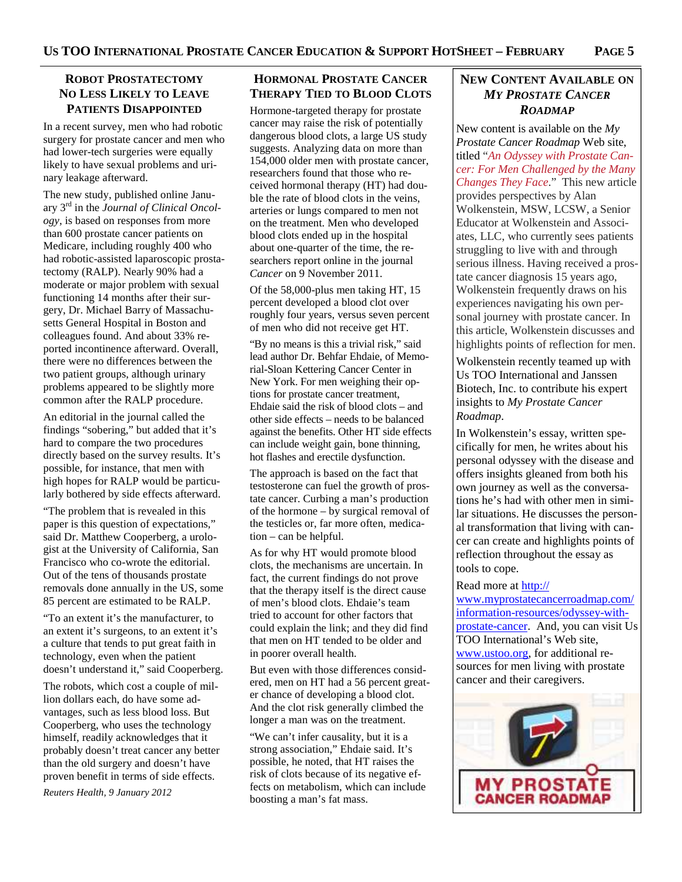### **ROBOT PROSTATECTOMY NO LESS LIKELY TO LEAVE PATIENTS DISAPPOINTED**

In a recent survey, men who had robotic surgery for prostate cancer and men who had lower-tech surgeries were equally likely to have sexual problems and urinary leakage afterward.

The new study, published online January 3rd in the *Journal of Clinical Oncology*, is based on responses from more than 600 prostate cancer patients on Medicare, including roughly 400 who had robotic-assisted laparoscopic prostatectomy (RALP). Nearly 90% had a moderate or major problem with sexual functioning 14 months after their surgery, Dr. Michael Barry of Massachusetts General Hospital in Boston and colleagues found. And about 33% reported incontinence afterward. Overall, there were no differences between the two patient groups, although urinary problems appeared to be slightly more common after the RALP procedure.

An editorial in the journal called the findings "sobering," but added that it's hard to compare the two procedures directly based on the survey results. It's possible, for instance, that men with high hopes for RALP would be particularly bothered by side effects afterward.

"The problem that is revealed in this paper is this question of expectations," said Dr. Matthew Cooperberg, a urologist at the University of California, San Francisco who co-wrote the editorial. Out of the tens of thousands prostate removals done annually in the US, some 85 percent are estimated to be RALP.

"To an extent it's the manufacturer, to an extent it's surgeons, to an extent it's a culture that tends to put great faith in technology, even when the patient doesn't understand it," said Cooperberg.

The robots, which cost a couple of million dollars each, do have some advantages, such as less blood loss. But Cooperberg, who uses the technology himself, readily acknowledges that it probably doesn't treat cancer any better than the old surgery and doesn't have proven benefit in terms of side effects.

*Reuters Health, 9 January 2012*

## **HORMONAL PROSTATE CANCER THERAPY TIED TO BLOOD CLOTS**

Hormone-targeted therapy for prostate cancer may raise the risk of potentially dangerous blood clots, a large US study suggests. Analyzing data on more than 154,000 older men with prostate cancer, researchers found that those who received hormonal therapy (HT) had double the rate of blood clots in the veins, arteries or lungs compared to men not on the treatment. Men who developed blood clots ended up in the hospital about one-quarter of the time, the researchers report online in the journal *Cancer* on 9 November 2011.

Of the 58,000-plus men taking HT, 15 percent developed a blood clot over roughly four years, versus seven percent of men who did not receive get HT.

"By no means is this a trivial risk," said lead author Dr. Behfar Ehdaie, of Memorial-Sloan Kettering Cancer Center in New York. For men weighing their options for prostate cancer treatment, Ehdaie said the risk of blood clots – and other side effects – needs to be balanced against the benefits. Other HT side effects can include weight gain, bone thinning, hot flashes and erectile dysfunction.

The approach is based on the fact that testosterone can fuel the growth of prostate cancer. Curbing a man's production of the hormone – by surgical removal of the testicles or, far more often, medication – can be helpful.

As for why HT would promote blood clots, the mechanisms are uncertain. In fact, the current findings do not prove that the therapy itself is the direct cause of men's blood clots. Ehdaie's team tried to account for other factors that could explain the link; and they did find that men on HT tended to be older and in poorer overall health.

But even with those differences considered, men on HT had a 56 percent greater chance of developing a blood clot. And the clot risk generally climbed the longer a man was on the treatment.

"We can't infer causality, but it is a strong association," Ehdaie said. It's possible, he noted, that HT raises the risk of clots because of its negative effects on metabolism, which can include boosting a man's fat mass.

## **NEW CONTENT AVAILABLE ON** *MY PROSTATE CANCER ROADMAP*

New content is available on the *My Prostate Cancer Roadmap* Web site, titled "*An Odyssey with Prostate Cancer: For Men Challenged by the Many Changes They Face*." This new article provides perspectives by Alan Wolkenstein, MSW, LCSW, a Senior Educator at Wolkenstein and Associates, LLC, who currently sees patients struggling to live with and through serious illness. Having received a prostate cancer diagnosis 15 years ago, Wolkenstein frequently draws on his experiences navigating his own personal journey with prostate cancer. In this article, Wolkenstein discusses and highlights points of reflection for men.

Wolkenstein recently teamed up with Us TOO International and Janssen Biotech, Inc. to contribute his expert insights to *My Prostate Cancer Roadmap*.

In Wolkenstein's essay, written specifically for men, he writes about his personal odyssey with the disease and offers insights gleaned from both his own journey as well as the conversations he's had with other men in similar situations. He discusses the personal transformation that living with cancer can create and highlights points of reflection throughout the essay as tools to cope.

#### Read more at http://

www.myprostatecancerroadmap.com/ information-resources/odyssey-withprostate-cancer. And, you can visit Us TOO International's Web site, www.ustoo.org, for additional resources for men living with prostate cancer and their caregivers.

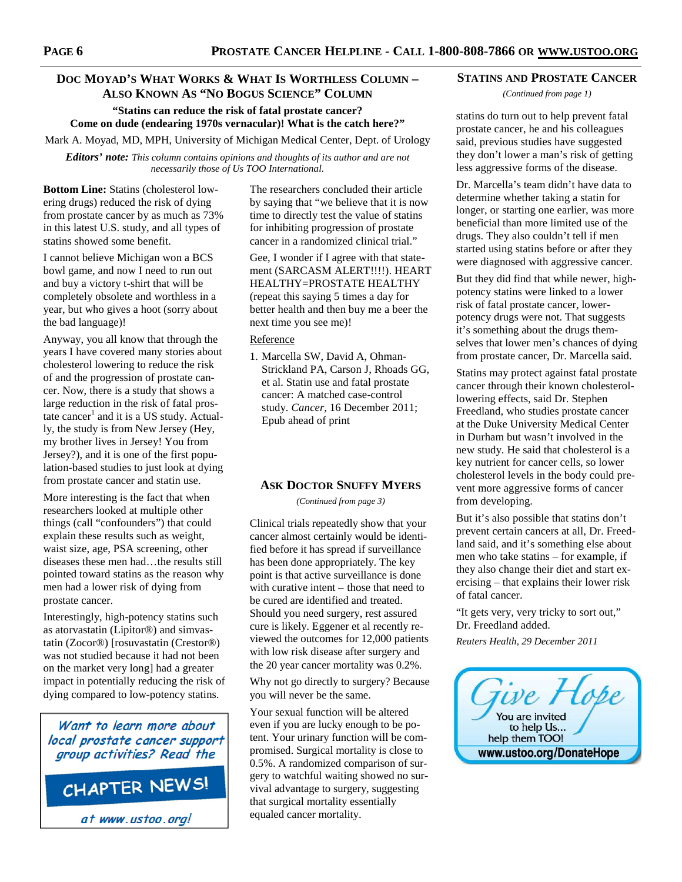## **DOC MOYAD'S WHAT WORKS & WHAT IS WORTHLESS COLUMN – ALSO KNOWN AS "NO BOGUS SCIENCE" COLUMN**

**"Statins can reduce the risk of fatal prostate cancer? Come on dude (endearing 1970s vernacular)! What is the catch here?"** 

Mark A. Moyad, MD, MPH, University of Michigan Medical Center, Dept. of Urology

*Editors' note: This column contains opinions and thoughts of its author and are not necessarily those of Us TOO International.* 

**Bottom Line:** Statins (cholesterol lowering drugs) reduced the risk of dying from prostate cancer by as much as 73% in this latest U.S. study, and all types of statins showed some benefit.

I cannot believe Michigan won a BCS bowl game, and now I need to run out and buy a victory t-shirt that will be completely obsolete and worthless in a year, but who gives a hoot (sorry about the bad language)!

Anyway, you all know that through the years I have covered many stories about cholesterol lowering to reduce the risk of and the progression of prostate cancer. Now, there is a study that shows a large reduction in the risk of fatal prostate cancer<sup>1</sup> and it is a US study. Actually, the study is from New Jersey (Hey, my brother lives in Jersey! You from Jersey?), and it is one of the first population-based studies to just look at dying from prostate cancer and statin use.

More interesting is the fact that when researchers looked at multiple other things (call "confounders") that could explain these results such as weight, waist size, age, PSA screening, other diseases these men had…the results still pointed toward statins as the reason why men had a lower risk of dying from prostate cancer.

Interestingly, high-potency statins such as atorvastatin (Lipitor®) and simvastatin (Zocor®) [rosuvastatin (Crestor®) was not studied because it had not been on the market very long] had a greater impact in potentially reducing the risk of dying compared to low-potency statins.

Want to learn more about local prostate cancer support group activities? Read the

CHAPTER NEWS!

at www.ustoo.org!

The researchers concluded their article by saying that "we believe that it is now time to directly test the value of statins for inhibiting progression of prostate cancer in a randomized clinical trial."

Gee, I wonder if I agree with that statement (SARCASM ALERT!!!!). HEART HEALTHY=PROSTATE HEALTHY (repeat this saying 5 times a day for better health and then buy me a beer the next time you see me)!

#### Reference

1. Marcella SW, David A, Ohman-Strickland PA, Carson J, Rhoads GG, et al. Statin use and fatal prostate cancer: A matched case-control study. *Cancer*, 16 December 2011; Epub ahead of print

#### **ASK DOCTOR SNUFFY MYERS**

*(Continued from page 3)* 

Clinical trials repeatedly show that your cancer almost certainly would be identified before it has spread if surveillance has been done appropriately. The key point is that active surveillance is done with curative intent – those that need to be cured are identified and treated. Should you need surgery, rest assured cure is likely. Eggener et al recently reviewed the outcomes for 12,000 patients with low risk disease after surgery and the 20 year cancer mortality was 0.2%.

Why not go directly to surgery? Because you will never be the same.

Your sexual function will be altered even if you are lucky enough to be potent. Your urinary function will be compromised. Surgical mortality is close to 0.5%. A randomized comparison of surgery to watchful waiting showed no survival advantage to surgery, suggesting that surgical mortality essentially equaled cancer mortality.

#### **STATINS AND PROSTATE CANCER**

*(Continued from page 1)* 

statins do turn out to help prevent fatal prostate cancer, he and his colleagues said, previous studies have suggested they don't lower a man's risk of getting less aggressive forms of the disease.

Dr. Marcella's team didn't have data to determine whether taking a statin for longer, or starting one earlier, was more beneficial than more limited use of the drugs. They also couldn't tell if men started using statins before or after they were diagnosed with aggressive cancer.

But they did find that while newer, highpotency statins were linked to a lower risk of fatal prostate cancer, lowerpotency drugs were not. That suggests it's something about the drugs themselves that lower men's chances of dying from prostate cancer, Dr. Marcella said.

Statins may protect against fatal prostate cancer through their known cholesterollowering effects, said Dr. Stephen Freedland, who studies prostate cancer at the Duke University Medical Center in Durham but wasn't involved in the new study. He said that cholesterol is a key nutrient for cancer cells, so lower cholesterol levels in the body could prevent more aggressive forms of cancer from developing.

But it's also possible that statins don't prevent certain cancers at all, Dr. Freedland said, and it's something else about men who take statins – for example, if they also change their diet and start exercising – that explains their lower risk of fatal cancer.

"It gets very, very tricky to sort out," Dr. Freedland added.

*Reuters Health, 29 December 2011* 

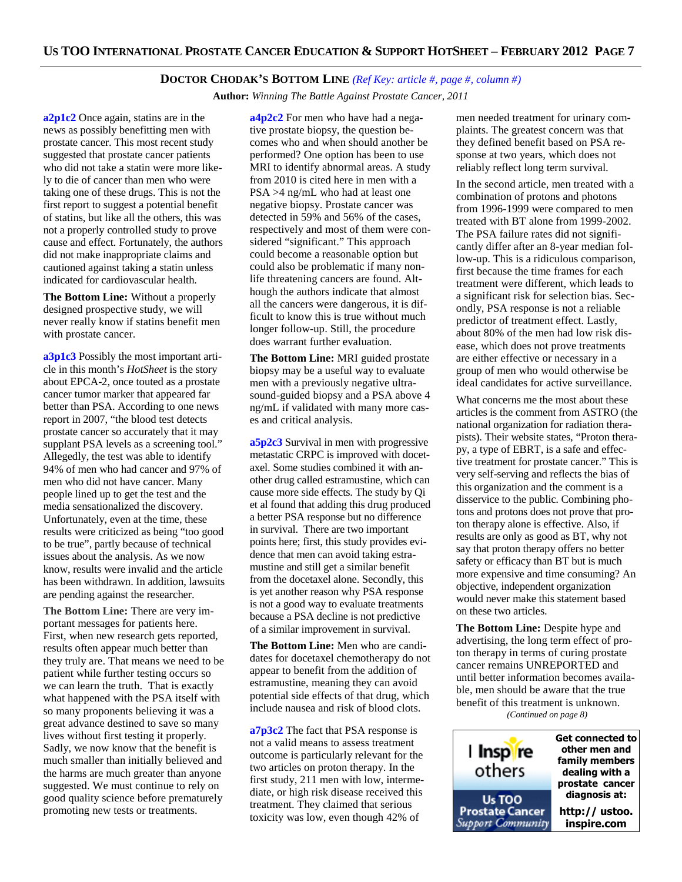#### **DOCTOR CHODAK'S BOTTOM LINE** *(Ref Key: article #, page #, column #)*

**Author:** *Winning The Battle Against Prostate Cancer, 2011*

**a2p1c2** Once again, statins are in the news as possibly benefitting men with prostate cancer. This most recent study suggested that prostate cancer patients who did not take a statin were more likely to die of cancer than men who were taking one of these drugs. This is not the first report to suggest a potential benefit of statins, but like all the others, this was not a properly controlled study to prove cause and effect. Fortunately, the authors did not make inappropriate claims and cautioned against taking a statin unless indicated for cardiovascular health.

**The Bottom Line:** Without a properly designed prospective study, we will never really know if statins benefit men with prostate cancer.

**a3p1c3** Possibly the most important article in this month's *HotSheet* is the story about EPCA-2, once touted as a prostate cancer tumor marker that appeared far better than PSA. According to one news report in 2007, "the blood test detects prostate cancer so accurately that it may supplant PSA levels as a screening tool." Allegedly, the test was able to identify 94% of men who had cancer and 97% of men who did not have cancer. Many people lined up to get the test and the media sensationalized the discovery. Unfortunately, even at the time, these results were criticized as being "too good to be true", partly because of technical issues about the analysis. As we now know, results were invalid and the article has been withdrawn. In addition, lawsuits are pending against the researcher.

**The Bottom Line:** There are very important messages for patients here. First, when new research gets reported, results often appear much better than they truly are. That means we need to be patient while further testing occurs so we can learn the truth. That is exactly what happened with the PSA itself with so many proponents believing it was a great advance destined to save so many lives without first testing it properly. Sadly, we now know that the benefit is much smaller than initially believed and the harms are much greater than anyone suggested. We must continue to rely on good quality science before prematurely promoting new tests or treatments.

**a4p2c2** For men who have had a negative prostate biopsy, the question becomes who and when should another be performed? One option has been to use MRI to identify abnormal areas. A study from 2010 is cited here in men with a PSA >4 ng/mL who had at least one negative biopsy. Prostate cancer was detected in 59% and 56% of the cases, respectively and most of them were considered "significant." This approach could become a reasonable option but could also be problematic if many nonlife threatening cancers are found. Although the authors indicate that almost all the cancers were dangerous, it is difficult to know this is true without much longer follow-up. Still, the procedure does warrant further evaluation.

**The Bottom Line:** MRI guided prostate biopsy may be a useful way to evaluate men with a previously negative ultrasound-guided biopsy and a PSA above 4 ng/mL if validated with many more cases and critical analysis.

**a5p2c3** Survival in men with progressive metastatic CRPC is improved with docetaxel. Some studies combined it with another drug called estramustine, which can cause more side effects. The study by Qi et al found that adding this drug produced a better PSA response but no difference in survival. There are two important points here; first, this study provides evidence that men can avoid taking estramustine and still get a similar benefit from the docetaxel alone. Secondly, this is yet another reason why PSA response is not a good way to evaluate treatments because a PSA decline is not predictive of a similar improvement in survival.

**The Bottom Line:** Men who are candidates for docetaxel chemotherapy do not appear to benefit from the addition of estramustine, meaning they can avoid potential side effects of that drug, which include nausea and risk of blood clots.

**a7p3c2** The fact that PSA response is not a valid means to assess treatment outcome is particularly relevant for the two articles on proton therapy. In the first study, 211 men with low, intermediate, or high risk disease received this treatment. They claimed that serious toxicity was low, even though 42% of

men needed treatment for urinary complaints. The greatest concern was that they defined benefit based on PSA response at two years, which does not reliably reflect long term survival.

In the second article, men treated with a combination of protons and photons from 1996-1999 were compared to men treated with BT alone from 1999-2002. The PSA failure rates did not significantly differ after an 8-year median follow-up. This is a ridiculous comparison, first because the time frames for each treatment were different, which leads to a significant risk for selection bias. Secondly, PSA response is not a reliable predictor of treatment effect. Lastly, about 80% of the men had low risk disease, which does not prove treatments are either effective or necessary in a group of men who would otherwise be ideal candidates for active surveillance.

What concerns me the most about these articles is the comment from ASTRO (the national organization for radiation therapists). Their website states, "Proton therapy, a type of EBRT, is a safe and effective treatment for prostate cancer." This is very self-serving and reflects the bias of this organization and the comment is a disservice to the public. Combining photons and protons does not prove that proton therapy alone is effective. Also, if results are only as good as BT, why not say that proton therapy offers no better safety or efficacy than BT but is much more expensive and time consuming? An objective, independent organization would never make this statement based on these two articles.

**The Bottom Line:** Despite hype and advertising, the long term effect of proton therapy in terms of curing prostate cancer remains UNREPORTED and until better information becomes available, men should be aware that the true benefit of this treatment is unknown. *(Continued on page 8)*